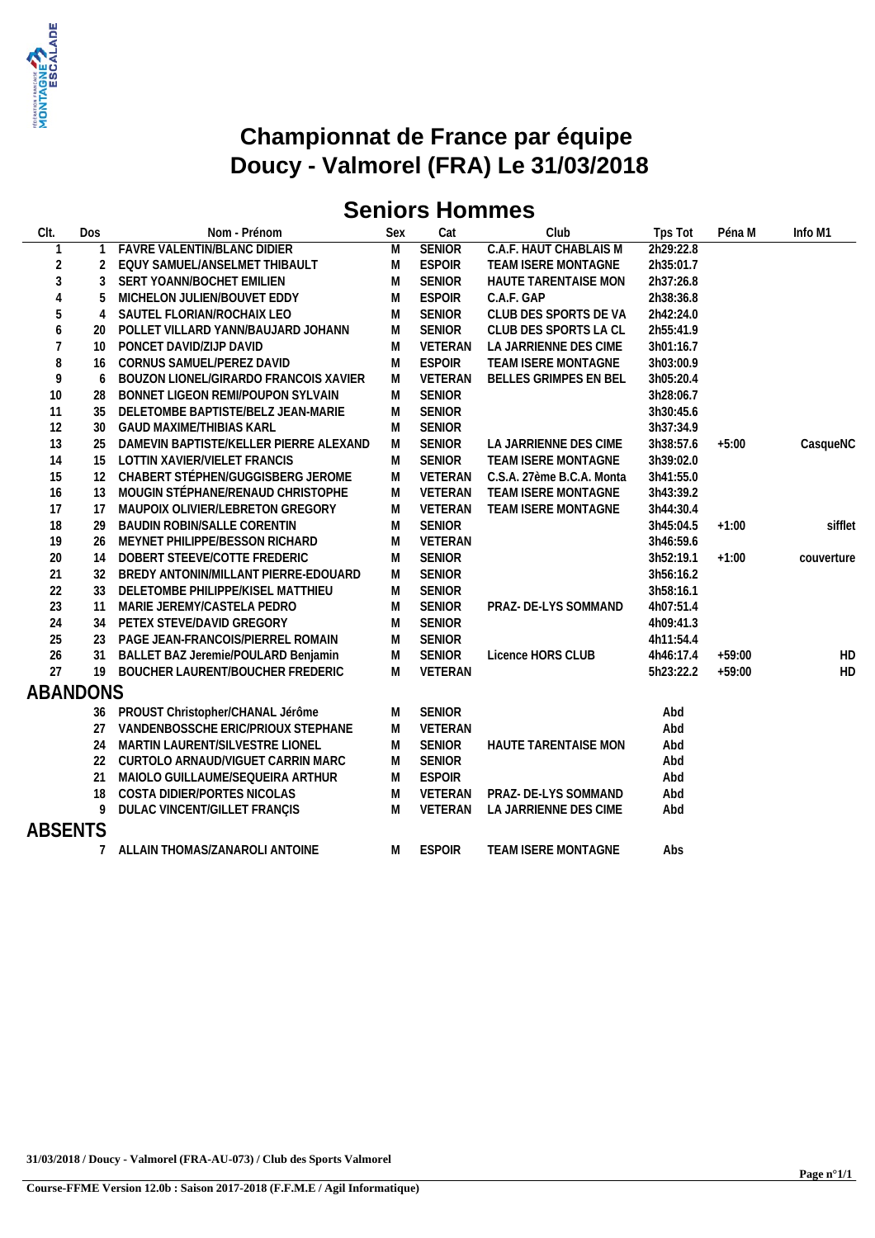

# **Seniors Hommes**

| CIt.            | Dos            | Nom - Prénom                           | Sex | Cat            | Club                          | Tps Tot   | Péna M   | Info M1    |
|-----------------|----------------|----------------------------------------|-----|----------------|-------------------------------|-----------|----------|------------|
| $\mathbf{1}$    |                | <b>FAVRE VALENTIN/BLANC DIDIER</b>     | M   | <b>SENIOR</b>  | <b>C.A.F. HAUT CHABLAIS M</b> | 2h29:22.8 |          |            |
| $\overline{2}$  | $\overline{2}$ | EQUY SAMUEL/ANSELMET THIBAULT          | M   | <b>ESPOIR</b>  | TEAM ISERE MONTAGNE           | 2h35:01.7 |          |            |
| 3               | 3              | SERT YOANN/BOCHET EMILIEN              | M   | <b>SENIOR</b>  | HAUTE TARENTAISE MON          | 2h37:26.8 |          |            |
|                 | 5.             | MICHELON JULIEN/BOUVET EDDY            | M   | <b>ESPOIR</b>  | C.A.F. GAP                    | 2h38:36.8 |          |            |
| 5               | 4              | SAUTEL FLORIAN/ROCHAIX LEO             | M   | <b>SENIOR</b>  | CLUB DES SPORTS DE VA         | 2h42:24.0 |          |            |
| 6               | 20             | POLLET VILLARD YANN/BAUJARD JOHANN     | M   | <b>SENIOR</b>  | CLUB DES SPORTS LA CL         | 2h55:41.9 |          |            |
| 7               | 10             | PONCET DAVID/ZIJP DAVID                | M   | VETERAN        | LA JARRIENNE DES CIME         | 3h01:16.7 |          |            |
| 8               | 16             | CORNUS SAMUEL/PEREZ DAVID              | M   | <b>ESPOIR</b>  | TEAM ISERE MONTAGNE           | 3h03:00.9 |          |            |
| 9               | 6              | BOUZON LIONEL/GIRARDO FRANCOIS XAVIER  | M   | VETERAN        | BELLES GRIMPES EN BEL         | 3h05:20.4 |          |            |
| 10              | 28             | BONNET LIGEON REMI/POUPON SYLVAIN      | M   | <b>SENIOR</b>  |                               | 3h28:06.7 |          |            |
| 11              | 35             | DELETOMBE BAPTISTE/BELZ JEAN-MARIE     | M   | <b>SENIOR</b>  |                               | 3h30:45.6 |          |            |
| 12              | 30             | <b>GAUD MAXIME/THIBIAS KARL</b>        | M   | <b>SENIOR</b>  |                               | 3h37:34.9 |          |            |
| 13              | 25             | DAMEVIN BAPTISTE/KELLER PIERRE ALEXAND | M   | <b>SENIOR</b>  | LA JARRIENNE DES CIME         | 3h38:57.6 | $+5:00$  | CasqueNC   |
| 14              | 15             | LOTTIN XAVIER/VIELET FRANCIS           | M   | <b>SENIOR</b>  | TEAM ISERE MONTAGNE           | 3h39:02.0 |          |            |
| 15              |                | 12 CHABERT STÉPHEN/GUGGISBERG JEROME   | M   | VETERAN        | C.S.A. 27ème B.C.A. Monta     | 3h41:55.0 |          |            |
| 16              |                | 13 MOUGIN STÉPHANE/RENAUD CHRISTOPHE   | M   | VETERAN        | TEAM ISERE MONTAGNE           | 3h43:39.2 |          |            |
| 17              | 17             | MAUPOIX OLIVIER/LEBRETON GREGORY       | M   | VETERAN        | TEAM ISERE MONTAGNE           | 3h44:30.4 |          |            |
| 18              | 29             | BAUDIN ROBIN/SALLE CORENTIN            | M   | <b>SENIOR</b>  |                               | 3h45:04.5 | $+1:00$  | sifflet    |
| 19              | 26             | MEYNET PHILIPPE/BESSON RICHARD         | M   | VETERAN        |                               | 3h46:59.6 |          |            |
| $20\,$          | 14             | DOBERT STEEVE/COTTE FREDERIC           | M   | <b>SENIOR</b>  |                               | 3h52:19.1 | $+1:00$  | couverture |
| 21              | 32             | BREDY ANTONIN/MILLANT PIERRE-EDOUARD   | M   | <b>SENIOR</b>  |                               | 3h56:16.2 |          |            |
| 22              | 33             | DELETOMBE PHILIPPE/KISEL MATTHIEU      | M   | <b>SENIOR</b>  |                               | 3h58:16.1 |          |            |
| 23              | 11             | MARIE JEREMY/CASTELA PEDRO             | M   | <b>SENIOR</b>  | PRAZ- DE-LYS SOMMAND          | 4h07:51.4 |          |            |
| 24              | 34             | PETEX STEVE/DAVID GREGORY              | M   | <b>SENIOR</b>  |                               | 4h09:41.3 |          |            |
| 25              | 23             | PAGE JEAN-FRANCOIS/PIERREL ROMAIN      | M   | <b>SENIOR</b>  |                               | 4h11:54.4 |          |            |
| 26              | 31             | BALLET BAZ Jeremie/POULARD Benjamin    | M   | SENIOR         | Licence HORS CLUB             | 4h46:17.4 | $+59:00$ | HD         |
| 27              | 19             | BOUCHER LAURENT/BOUCHER FREDERIC       | M   | VETERAN        |                               | 5h23:22.2 | $+59:00$ | HD         |
| <b>ABANDONS</b> |                |                                        |     |                |                               |           |          |            |
|                 | 36             | PROUST Christopher/CHANAL Jérôme       | M   | <b>SENIOR</b>  |                               | Abd       |          |            |
|                 | 27             | VANDENBOSSCHE ERIC/PRIOUX STEPHANE     | M   | VETERAN        |                               | Abd       |          |            |
|                 | 24             | MARTIN LAURENT/SILVESTRE LIONEL        | M   | <b>SENIOR</b>  | <b>HAUTE TARENTAISE MON</b>   | Abd       |          |            |
|                 | 22             | CURTOLO ARNAUD/VIGUET CARRIN MARC      | M   | SENIOR         |                               | Abd       |          |            |
|                 | 21             | MAIOLO GUILLAUME/SEQUEIRA ARTHUR       | M   | <b>ESPOIR</b>  |                               | Abd       |          |            |
|                 | 18             | COSTA DIDIER/PORTES NICOLAS            | M   | <b>VETERAN</b> | PRAZ- DE-LYS SOMMAND          | Abd       |          |            |
|                 | 9              | DULAC VINCENT/GILLET FRANÇIS           | M   | <b>VETERAN</b> | LA JARRIENNE DES CIME         | Abd       |          |            |
| <b>ABSENTS</b>  |                |                                        |     |                |                               |           |          |            |
|                 |                |                                        |     |                |                               |           |          |            |
|                 |                | ALLAIN THOMAS/ZANAROLI ANTOINE         | M   | <b>ESPOIR</b>  | TEAM ISERE MONTAGNE           | Abs       |          |            |
|                 |                |                                        |     |                |                               |           |          |            |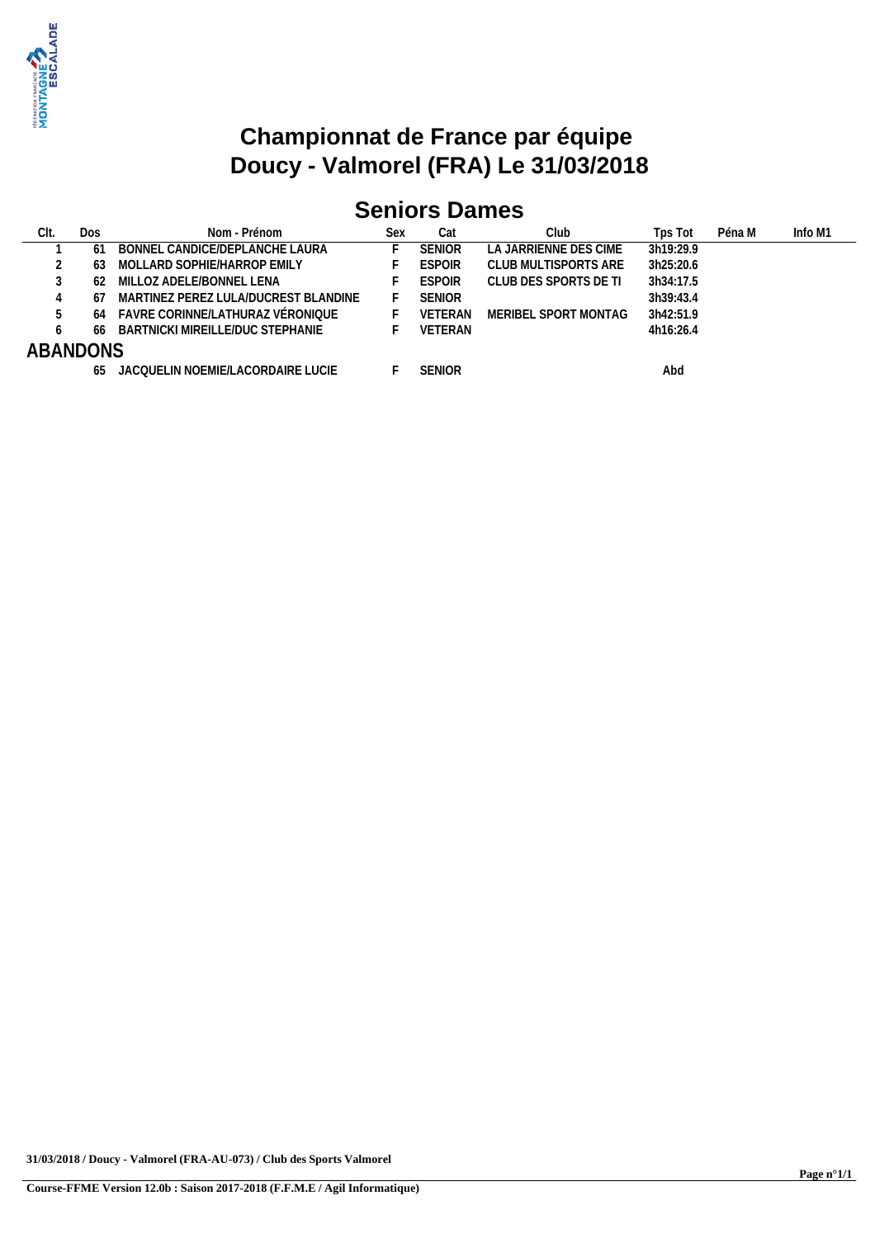

# **Seniors Dames**

| CIt. | Dos             | Nom - Prénom                         | Sex | Cat           | Club                  | Tps Tot   | Péna M | Info M1 |
|------|-----------------|--------------------------------------|-----|---------------|-----------------------|-----------|--------|---------|
|      | 6               | BONNEL CANDICE/DEPLANCHE LAURA       |     | <b>SENIOR</b> | LA JARRIENNE DES CIME | 3h19:29.9 |        |         |
|      | 63              | MOLLARD SOPHIE/HARROP EMILY          |     | <b>ESPOIR</b> | CLUB MULTISPORTS ARE  | 3h25:20.6 |        |         |
|      | 62              | MILLOZ ADELE/BONNEL LENA             |     | <b>ESPOIR</b> | CLUB DES SPORTS DE TI | 3h34:17.5 |        |         |
|      | -67             | MARTINEZ PEREZ LULA/DUCREST BLANDINE |     | <b>SENIOR</b> |                       | 3h39:43.4 |        |         |
|      | 64              | FAVRE CORINNE/LATHURAZ VÉRONIOUE     |     | VETERAN       | MERIBEL SPORT MONTAG  | 3h42:51.9 |        |         |
|      | 66              | BARTNICKI MIREILLE/DUC STEPHANIE     |     | VETERAN       |                       | 4h16:26.4 |        |         |
|      | <b>ABANDONS</b> |                                      |     |               |                       |           |        |         |
|      | 65              | JACQUELIN NOEMIE/LACORDAIRE LUCIE    |     | <b>SENIOR</b> |                       | Abd       |        |         |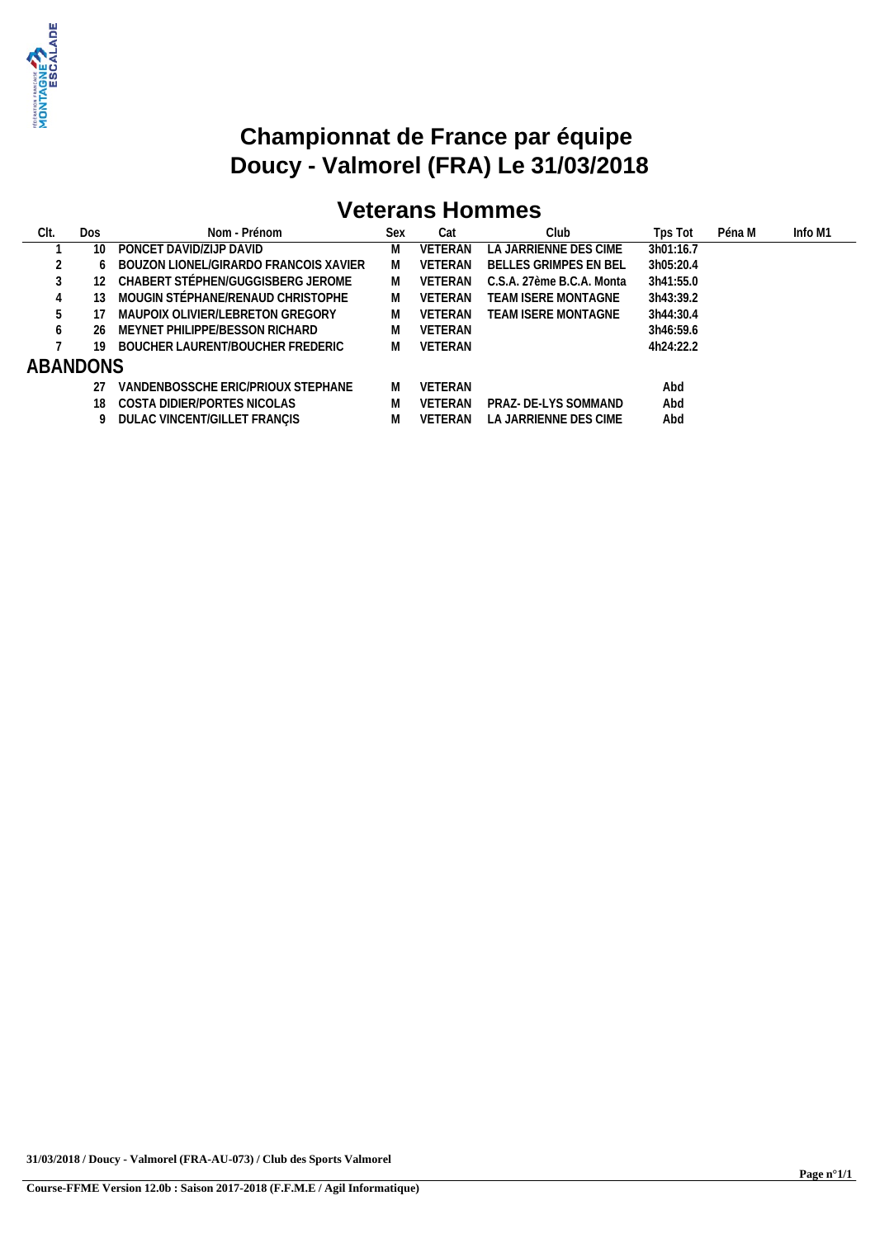

# **Veterans Hommes**

| Clt.         | Dos | Nom - Prénom                          | Sex | Cat            | Club                       | Tps Tot   | Péna M | Info M1 |
|--------------|-----|---------------------------------------|-----|----------------|----------------------------|-----------|--------|---------|
|              | 10  | PONCET DAVID/ZIJP DAVID               | M   | <b>VETERAN</b> | LA JARRIENNE DES CIME      | 3h01:16.7 |        |         |
|              |     | BOUZON LIONEL/GIRARDO FRANCOIS XAVIER | M   | <b>VETERAN</b> | BELLES GRIMPES EN BEL      | 3h05:20.4 |        |         |
|              |     | CHABERT STÉPHEN/GUGGISBERG JEROME     | M   | <b>VETERAN</b> | C.S.A. 27ème B.C.A. Monta  | 3h41:55.0 |        |         |
|              | 13  | MOUGIN STÉPHANE/RENAUD CHRISTOPHE     | M   | <b>VETERAN</b> | TEAM ISERE MONTAGNE        | 3h43:39.2 |        |         |
|              |     | MAUPOIX OLIVIER/LEBRETON GREGORY      | M   | <b>VETERAN</b> | <b>TEAM ISERE MONTAGNE</b> | 3h44:30.4 |        |         |
| <sup>o</sup> | 26  | MEYNET PHILIPPE/BESSON RICHARD        |     | VETERAN        |                            | 3h46:59.6 |        |         |
|              | 19  | BOUCHER LAURENT/BOUCHER FREDERIC      |     | VETERAN        |                            | 4h24:22.2 |        |         |
| ABANDONS     |     |                                       |     |                |                            |           |        |         |
|              | 27  | VANDENBOSSCHE ERIC/PRIOUX STEPHANE    | M   | <b>VFTFRAN</b> |                            | Abd       |        |         |
|              | 18. | COSTA DIDIER/PORTES NICOLAS           |     | <b>VFTFRAN</b> | PRAZ- DE-LYS SOMMAND       | Abd       |        |         |
|              |     | 9 DULAC VINCENT/GILLET FRANCIS        |     | <b>VETERAN</b> | LA JARRIENNE DES CIME      | Abd       |        |         |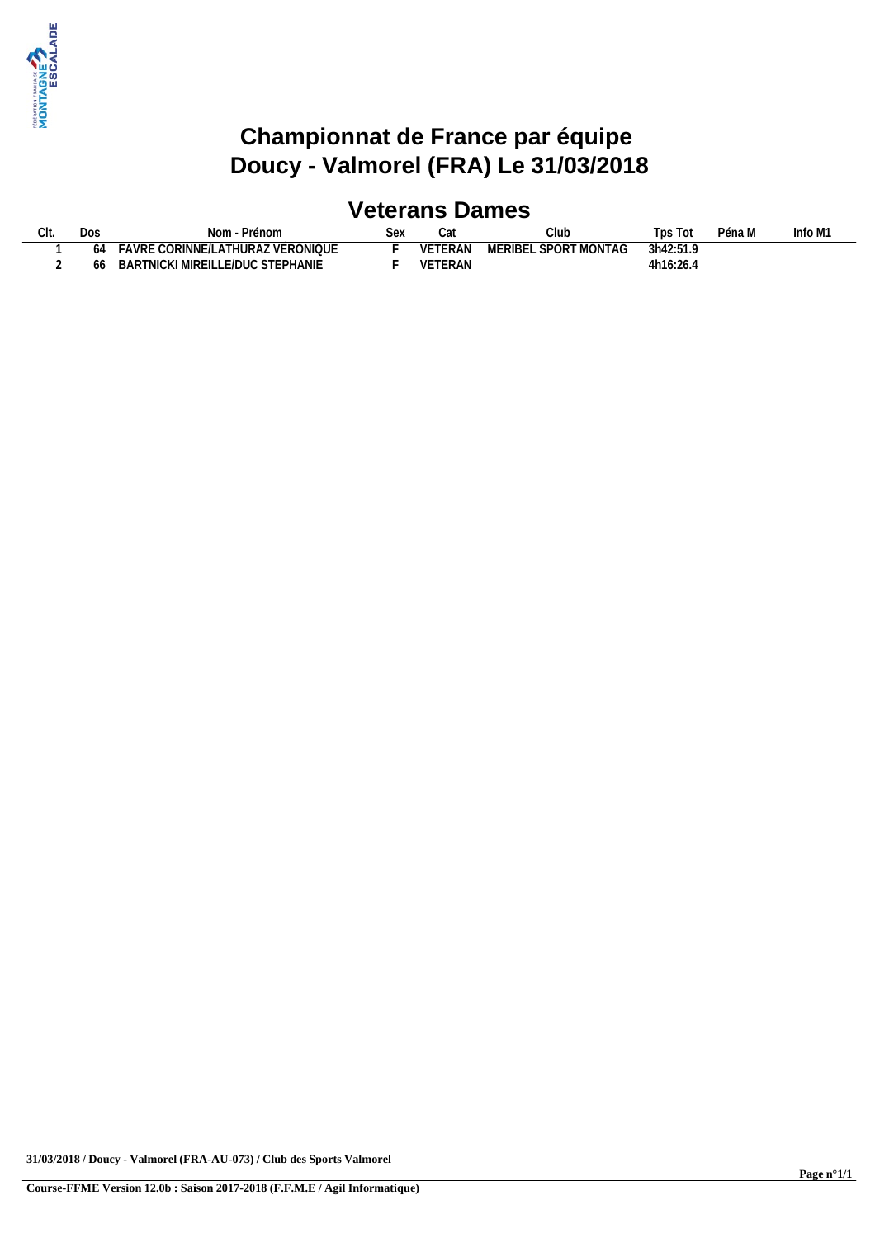

## **Veterans Dames**

|  | Do:           | Prénom<br>Nom                               | SA) | vai     | Club                             | <b>DS</b><br>l Ot | Péna M | nfo M1 |
|--|---------------|---------------------------------------------|-----|---------|----------------------------------|-------------------|--------|--------|
|  | <sub>04</sub> | : CORINNE/LATHURAZ VÉRONIQUE<br><b>AVRE</b> |     | VETERAN | - SPORT MONTAG<br><b>IERIBEL</b> | 3h42:51.9         |        |        |
|  | hh            | LLE/DUC STEPHANIE<br>NICKI MIREIL<br>BART'  |     | VETERAN |                                  | 4h16:26.4         |        |        |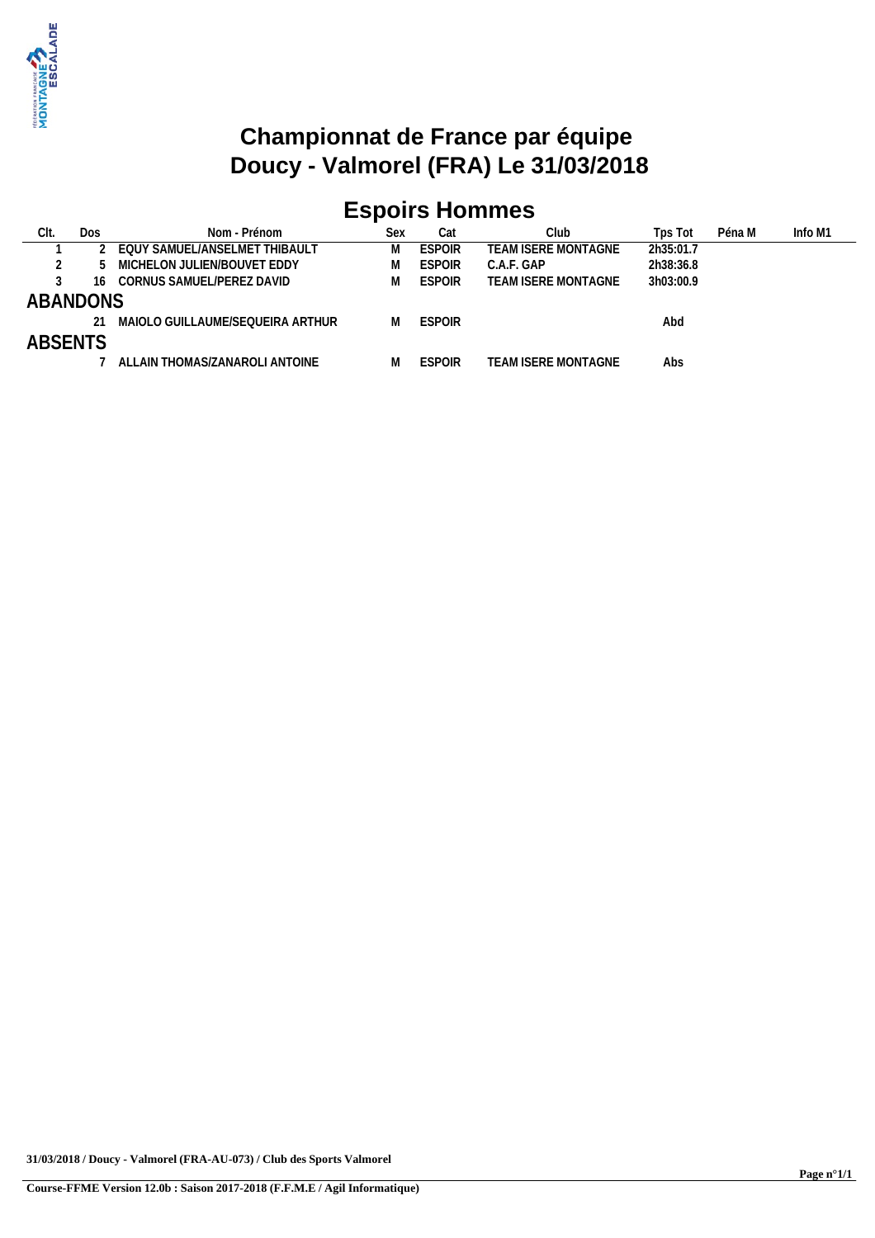

# **Espoirs Hommes**

| Clt.           | Dos | Nom - Prénom                     | Sex | Cat           | Clubl                      | Tps Tot   | Péna M | Info M1 |
|----------------|-----|----------------------------------|-----|---------------|----------------------------|-----------|--------|---------|
|                |     | EQUY SAMUEL/ANSELMET THIBAULT    |     | <b>ESPOIR</b> | TEAM ISERE MONTAGNE        | 2h35:01.7 |        |         |
|                |     | MICHELON JULIEN/BOUVET EDDY      |     | <b>ESPOIR</b> | C.A.F. GAP                 | 2h38:36.8 |        |         |
|                | 16  | CORNUS SAMUEL/PEREZ DAVID        |     | <b>ESPOIR</b> | <b>TEAM ISERE MONTAGNE</b> | 3h03:00.9 |        |         |
| ABANDONS       |     |                                  |     |               |                            |           |        |         |
|                |     | MAIOLO GUILLAUME/SEOUEIRA ARTHUR |     | <b>ESPOIR</b> |                            | Abd       |        |         |
| <b>ABSENTS</b> |     |                                  |     |               |                            |           |        |         |
|                |     | ALLAIN THOMAS/ZANAROLI ANTOINE   |     | <b>ESPOIR</b> | TEAM ISERE MONTAGNE        | Abs       |        |         |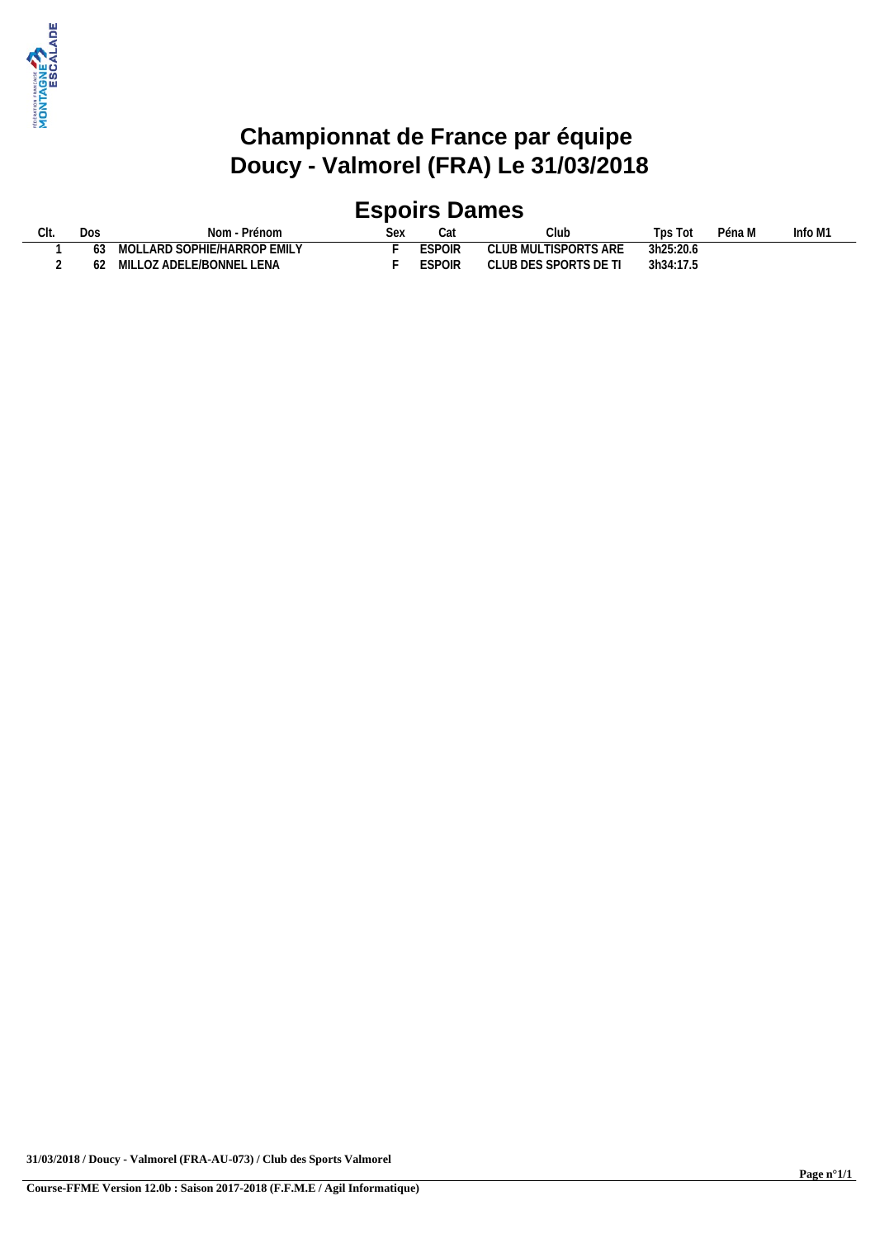

## **Espoirs Dames**

| UII. | Dos | Nom<br>Prénom                    | 26y | Cat                  | Club                    | l DS<br>Tot | Péna M | Info M1 |
|------|-----|----------------------------------|-----|----------------------|-------------------------|-------------|--------|---------|
|      |     | LLARD SOPHIE/HARROP EMILY<br>101 |     | <b>ESDOID</b><br>UIR | TISPORTS ARE<br>'JB MUL | 3h25:20.6   |        |         |
|      |     | Z ADELE/BONNEL LENA<br>MII       |     | <b>ESPOIR</b>        | UB DES SPORTS DE T'     | 3h34:17.5   |        |         |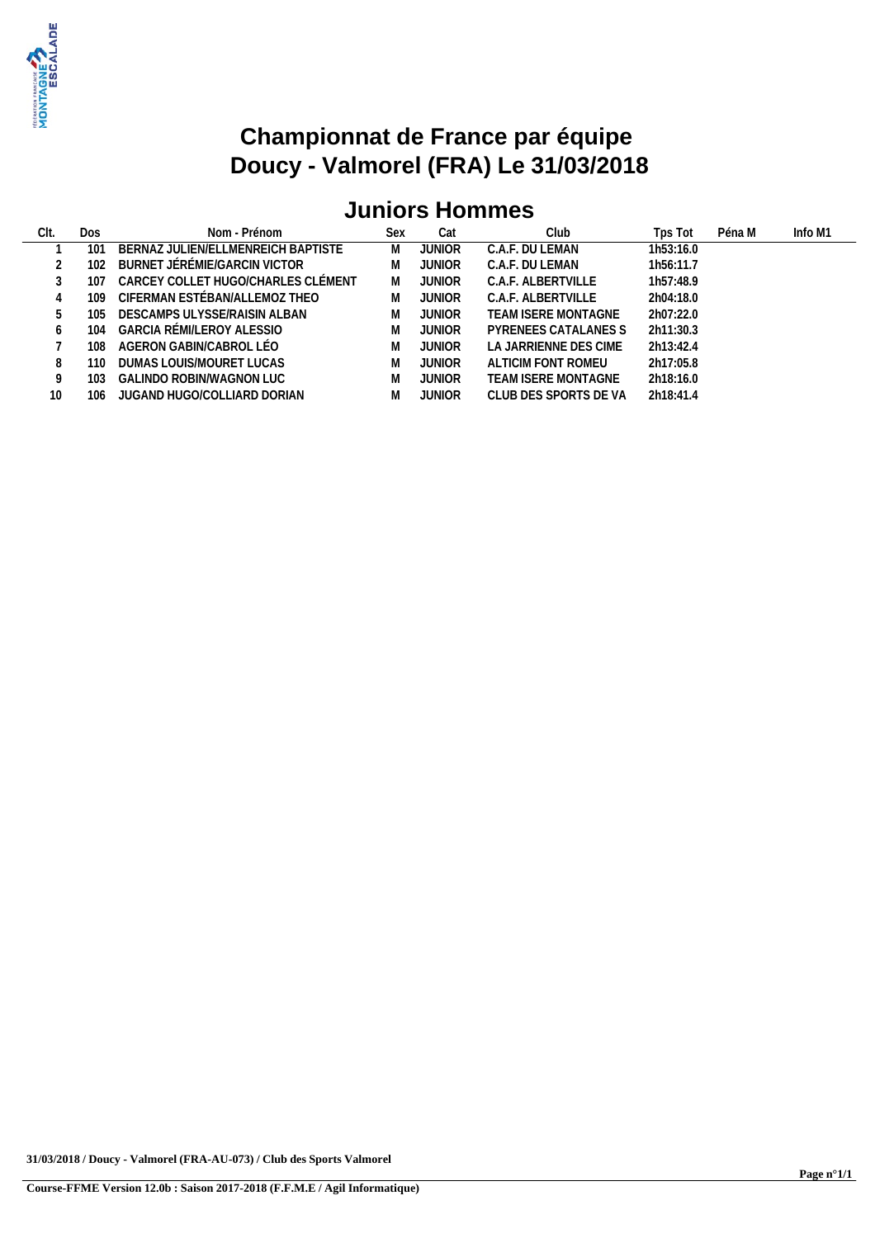

# **Juniors Hommes**

| CIt. | <b>Dos</b> | Nom - Prénom                       | Sex | Cat           | Club                  | Tps Tot   | Péna M | Info M1 |
|------|------------|------------------------------------|-----|---------------|-----------------------|-----------|--------|---------|
|      | 101        | BERNAZ JULIEN/ELLMENREICH BAPTISTE | M   | JUNIOR        | C.A.F. DU LEMAN       | 1h53:16.0 |        |         |
|      | 102        | BURNET JÉRÉMIE/GARCIN VICTOR       | M   | <b>JUNIOR</b> | C.A.F. DU LEMAN       | 1h56:11.7 |        |         |
|      | 107        | CARCEY COLLET HUGO/CHARLES CLÉMENT | M   | <b>JUNIOR</b> | C.A.F. ALBERTVILLE    | 1h57:48.9 |        |         |
|      | 109        | CIFERMAN ESTÉBAN/ALLEMOZ THEO      | M   | JUNIOR        | C.A.F. ALBERTVILLE    | 2h04:18.0 |        |         |
|      | 105        | DESCAMPS ULYSSE/RAISIN ALBAN       | M   | <b>JUNIOR</b> | TEAM ISERE MONTAGNE   | 2h07:22.0 |        |         |
|      | 104        | GARCIA RÉMI/LEROY ALESSIO          | M   | <b>JUNIOR</b> | PYRENEES CATALANES S  | 2h11:30.3 |        |         |
|      | 108        | AGERON GABIN/CABROL LÉO            | M   | <b>JUNIOR</b> | LA JARRIENNE DES CIME | 2h13:42.4 |        |         |
|      | 110        | DUMAS LOUIS/MOURET LUCAS           | M   | <b>JUNIOR</b> | ALTICIM FONT ROMEU    | 2h17:05.8 |        |         |
|      | 103        | GALINDO ROBIN/WAGNON LUC           | M   | <b>JUNIOR</b> | TEAM ISERE MONTAGNE   | 2h18:16.0 |        |         |
| 10   | 106        | JUGAND HUGO/COLLIARD DORIAN        | M   | JUNIOR        | CLUB DES SPORTS DE VA | 2h18:41.4 |        |         |
|      |            |                                    |     |               |                       |           |        |         |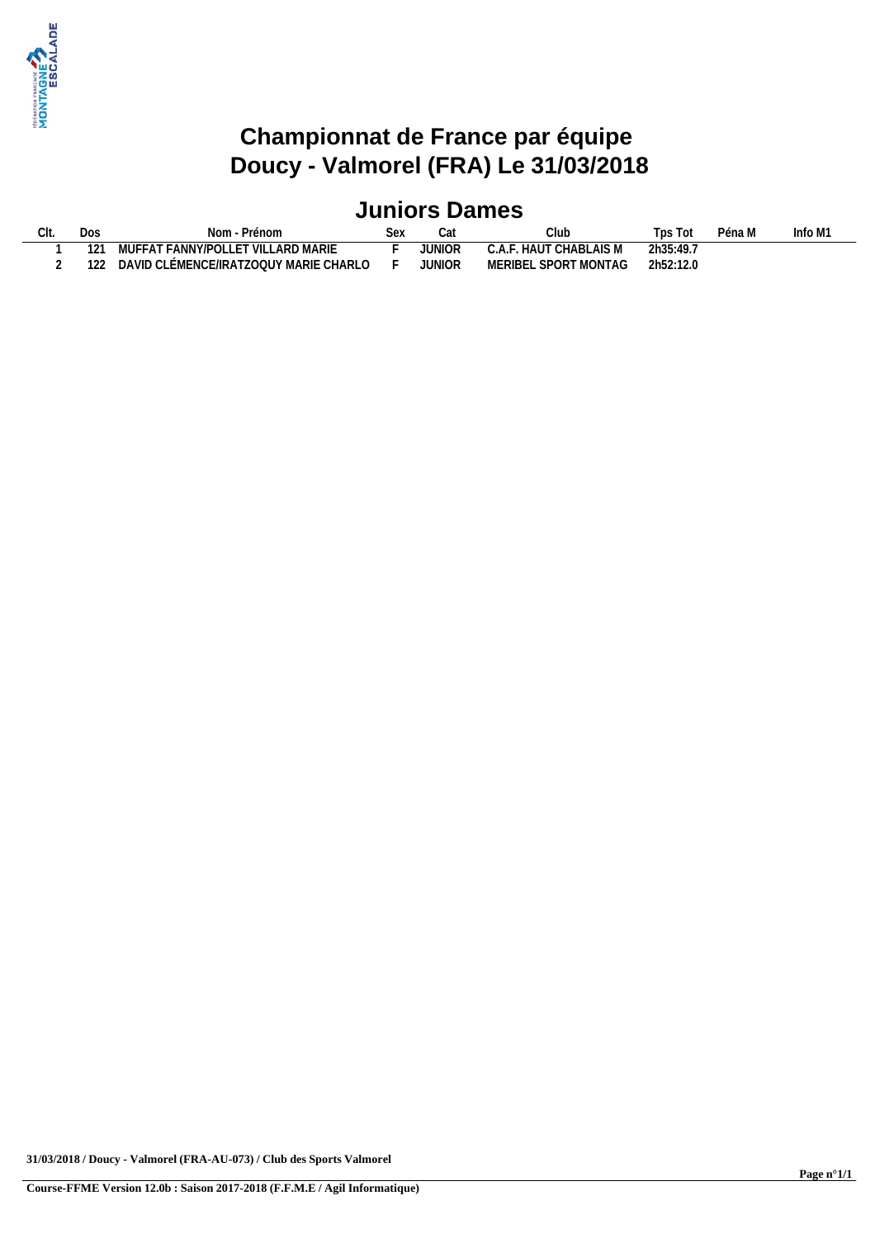

## **Juniors Dames**

| Dos<br>$\cap$ I+<br>، ا ا ب | Prénom<br>Nom                                                                                | Se) | uم            | UIUN                                  | Tps Tot   | Péna M | nfo M1 |
|-----------------------------|----------------------------------------------------------------------------------------------|-----|---------------|---------------------------------------|-----------|--------|--------|
| $1^{\circ}$                 | <b>FANNY/POLLE</b><br><b>LARD MARIE</b><br><sup>-</sup> T VILL,<br><b>ILIFFA<sup>T</sup></b> |     | JUNIOR        | CHABLAIS M<br>$\cdot$ . HAUT<br>U.A.F | 2h35:49.7 |        |        |
| 122                         | <b>JLÉMENCE/IRATZOQUY MARIE</b><br>CHARLO<br>DAVID (                                         |     | <b>JUNIOR</b> | SPORT MONTAG<br><b>MERIBE</b>         | 2h52:12.0 |        |        |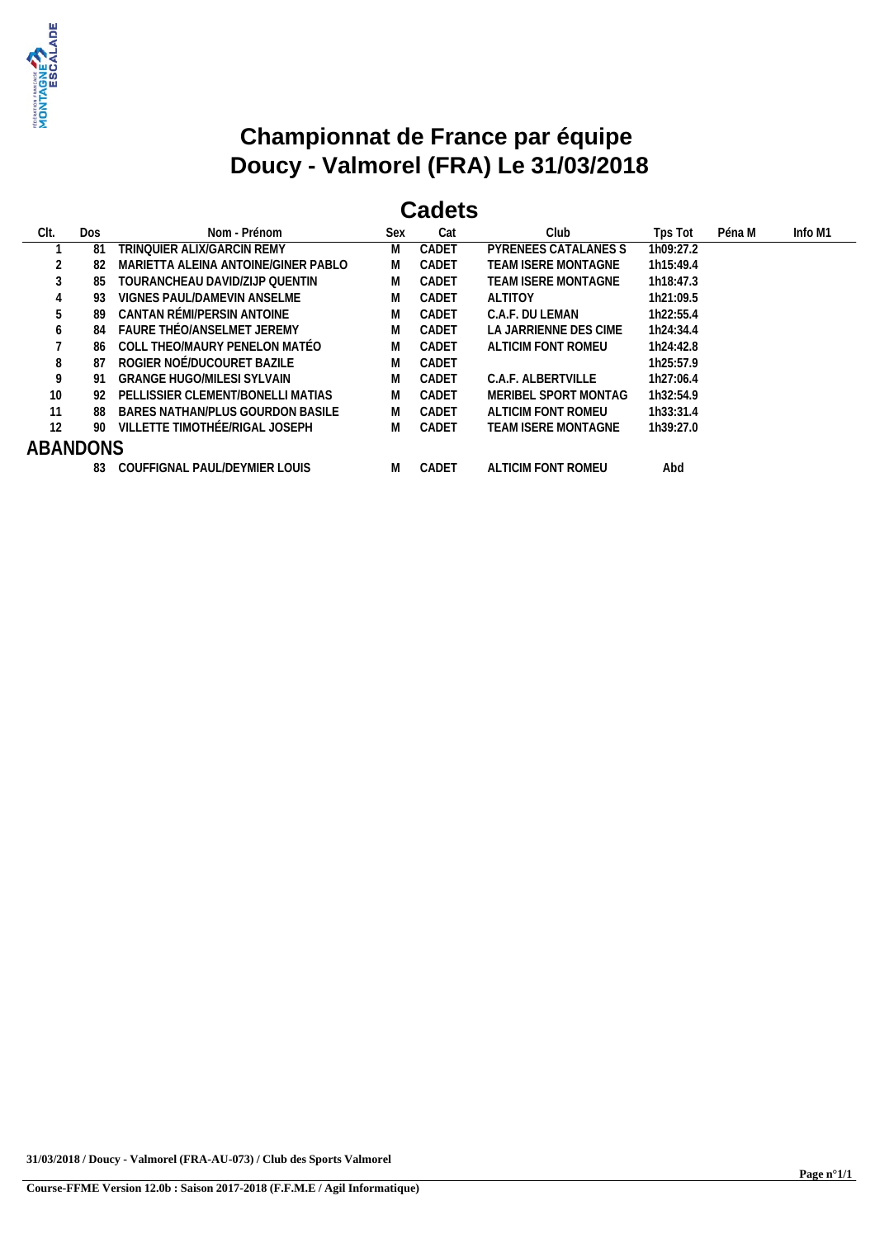

## **Cadets**

| Clt.            | Dos | Nom - Prénom                        | Sex | Cat   | Club                       | Tps Tot   | Péna M | Info M1 |
|-----------------|-----|-------------------------------------|-----|-------|----------------------------|-----------|--------|---------|
|                 | -81 | TRINOUIER ALIX/GARCIN REMY          | M   | CADET | PYRENEES CATALANES S       | 1h09:27.2 |        |         |
|                 | -82 | MARIETTA ALEINA ANTOINE/GINER PABLO | M   | CADET | <b>TEAM ISERE MONTAGNE</b> | 1h15:49.4 |        |         |
|                 | -85 | TOURANCHEAU DAVID/ZUP OUENTIN       | M   | CADET | TEAM ISERE MONTAGNE        | 1h18:47.3 |        |         |
| 4               | 93  | VIGNES PAUL/DAMEVIN ANSELME         | M   | CADET | <b>ALTITOY</b>             | 1h21:09.5 |        |         |
| 5               | 89  | CANTAN RÉMI/PERSIN ANTOINE          | M   | CADET | C.A.F. DU LEMAN            | 1h22:55.4 |        |         |
| b               | 84  | FAURE THÉO/ANSELMET JEREMY          | M   | CADET | LA JARRIENNE DES CIME      | 1h24:34.4 |        |         |
|                 | 86  | COLL THEO/MAURY PENELON MATÉO       | M   | CADET | ALTICIM FONT ROMEU         | 1h24:42.8 |        |         |
| 8               | 87  | ROGIER NOÉ/DUCOURET BAZILE          | M   | CADET |                            | 1h25:57.9 |        |         |
| 9               | 91  | GRANGE HUGO/MILESI SYLVAIN          | M   | CADET | C.A.F. ALBERTVILLE         | 1h27:06.4 |        |         |
| 10              | -92 | PELLISSIER CLEMENT/BONELLI MATIAS   | M   | CADET | MERIBEL SPORT MONTAG       | 1h32:54.9 |        |         |
| 11              | 88  | BARES NATHAN/PLUS GOURDON BASILE    | M   | CADET | ALTICIM FONT ROMEU         | 1h33:31.4 |        |         |
| 12              | -90 | VILLETTE TIMOTHÉE/RIGAL JOSEPH      | M   | CADET | TEAM ISERE MONTAGNE        | 1h39:27.0 |        |         |
| <b>ABANDONS</b> |     |                                     |     |       |                            |           |        |         |
|                 | 83  | COUFFIGNAL PAUL/DEYMIER LOUIS       | M   | CADET | ALTICIM FONT ROMEU         | Abd       |        |         |
|                 |     |                                     |     |       |                            |           |        |         |